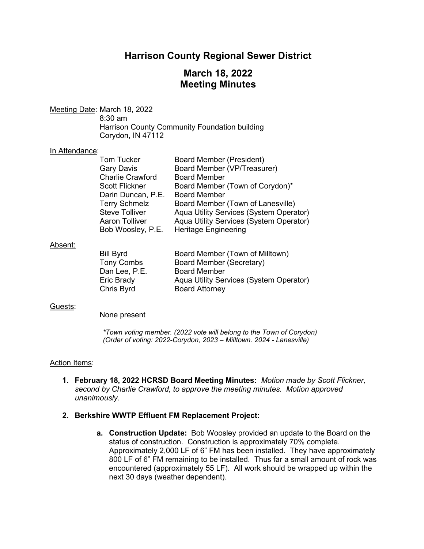# **Harrison County Regional Sewer District**

# **March 18, 2022 Meeting Minutes**

Meeting Date: March 18, 2022 8:30 am Harrison County Community Foundation building Corydon, IN 47112

#### In Attendance:

| <b>Tom Tucker</b>       | <b>Board Member (President)</b>         |
|-------------------------|-----------------------------------------|
| <b>Gary Davis</b>       | Board Member (VP/Treasurer)             |
| <b>Charlie Crawford</b> | <b>Board Member</b>                     |
| <b>Scott Flickner</b>   | Board Member (Town of Corydon)*         |
| Darin Duncan, P.E.      | <b>Board Member</b>                     |
| <b>Terry Schmelz</b>    | Board Member (Town of Lanesville)       |
| <b>Steve Tolliver</b>   | Aqua Utility Services (System Operator) |
| <b>Aaron Tolliver</b>   | Aqua Utility Services (System Operator) |
| Bob Woosley, P.E.       | <b>Heritage Engineering</b>             |

#### Absent:

| Board Member (Town of Milltown)         |
|-----------------------------------------|
| Board Member (Secretary)                |
| <b>Board Member</b>                     |
| Aqua Utility Services (System Operator) |
| <b>Board Attorney</b>                   |
|                                         |

#### Guests:

None present

*\*Town voting member. (2022 vote will belong to the Town of Corydon) (Order of voting: 2022-Corydon, 2023 – Milltown. 2024 - Lanesville)* 

#### Action Items:

**1. February 18, 2022 HCRSD Board Meeting Minutes:** *Motion made by Scott Flickner, second by Charlie Crawford, to approve the meeting minutes. Motion approved unanimously.*

#### **2. Berkshire WWTP Effluent FM Replacement Project:**

**a. Construction Update:** Bob Woosley provided an update to the Board on the status of construction. Construction is approximately 70% complete. Approximately 2,000 LF of 6" FM has been installed. They have approximately 800 LF of 6" FM remaining to be installed. Thus far a small amount of rock was encountered (approximately 55 LF). All work should be wrapped up within the next 30 days (weather dependent).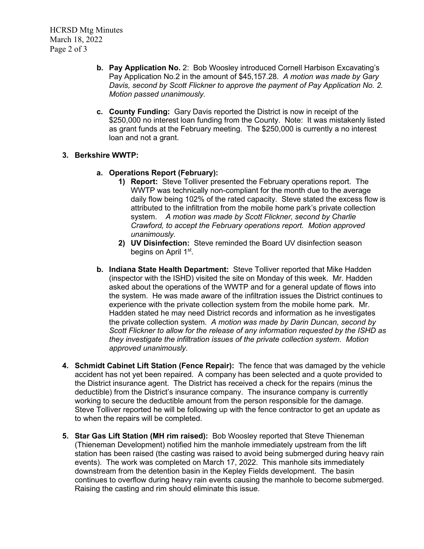- **b. Pay Application No.** 2: Bob Woosley introduced Cornell Harbison Excavating's Pay Application No.2 in the amount of \$45,157.28. *A motion was made by Gary Davis, second by Scott Flickner to approve the payment of Pay Application No. 2. Motion passed unanimously.*
- **c. County Funding:** Gary Davis reported the District is now in receipt of the \$250,000 no interest loan funding from the County. Note: It was mistakenly listed as grant funds at the February meeting. The \$250,000 is currently a no interest loan and not a grant.

### **3. Berkshire WWTP:**

- **a. Operations Report (February):**
	- **1) Report:** Steve Tolliver presented the February operations report. The WWTP was technically non-compliant for the month due to the average daily flow being 102% of the rated capacity. Steve stated the excess flow is attributed to the infiltration from the mobile home park's private collection system. *A motion was made by Scott Flickner, second by Charlie Crawford, to accept the February operations report. Motion approved unanimously.*
	- **2) UV Disinfection:**Steve reminded the Board UV disinfection season begins on April 1<sup>st</sup>.
- **b. Indiana State Health Department:**Steve Tolliver reported that Mike Hadden (inspector with the ISHD) visited the site on Monday of this week. Mr. Hadden asked about the operations of the WWTP and for a general update of flows into the system. He was made aware of the infiltration issues the District continues to experience with the private collection system from the mobile home park. Mr. Hadden stated he may need District records and information as he investigates the private collection system. *A motion was made by Darin Duncan, second by Scott Flickner to allow for the release of any information requested by the ISHD as they investigate the infiltration issues of the private collection system. Motion approved unanimously.*
- **4. Schmidt Cabinet Lift Station (Fence Repair):** The fence that was damaged by the vehicle accident has not yet been repaired. A company has been selected and a quote provided to the District insurance agent. The District has received a check for the repairs (minus the deductible) from the District's insurance company. The insurance company is currently working to secure the deductible amount from the person responsible for the damage. Steve Tolliver reported he will be following up with the fence contractor to get an update as to when the repairs will be completed.
- **5. Star Gas Lift Station (MH rim raised):** Bob Woosley reported that Steve Thieneman (Thieneman Development) notified him the manhole immediately upstream from the lift station has been raised (the casting was raised to avoid being submerged during heavy rain events). The work was completed on March 17, 2022. This manhole sits immediately downstream from the detention basin in the Kepley Fields development. The basin continues to overflow during heavy rain events causing the manhole to become submerged. Raising the casting and rim should eliminate this issue.